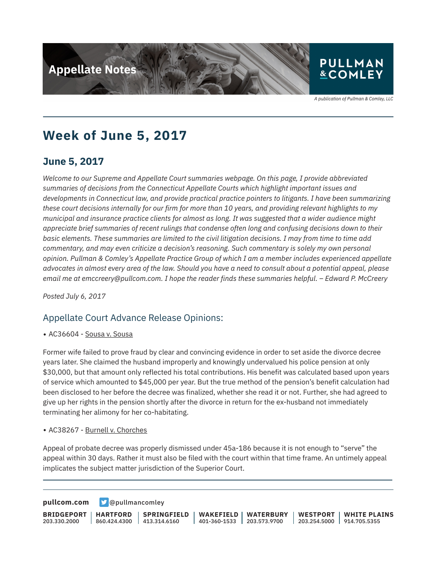

### **PULLMAN &COMLEY**

A publication of Pullman & Comley, LLC

# **Week of June 5, 2017**

## **June 5, 2017**

*Welcome to our Supreme and Appellate Court summaries webpage. On this page, I provide abbreviated summaries of decisions from the Connecticut Appellate Courts which highlight important issues and developments in Connecticut law, and provide practical practice pointers to litigants. I have been summarizing these court decisions internally for our firm for more than 10 years, and providing relevant highlights to my municipal and insurance practice clients for almost as long. It was suggested that a wider audience might appreciate brief summaries of recent rulings that condense often long and confusing decisions down to their basic elements. These summaries are limited to the civil litigation decisions. I may from time to time add commentary, and may even criticize a decision's reasoning. Such commentary is solely my own personal opinion. Pullman & Comley's Appellate Practice Group of which I am a member includes experienced appellate advocates in almost every area of the law. Should you have a need to consult about a potential appeal, please email me at emccreery@pullcom.com. I hope the reader finds these summaries helpful. – Edward P. McCreery*

*Posted July 6, 2017*

#### Appellate Court Advance Release Opinions:

● AC36604 - Sousa v. Sousa

Former wife failed to prove fraud by clear and convincing evidence in order to set aside the divorce decree years later. She claimed the husband improperly and knowingly undervalued his police pension at only \$30,000, but that amount only reflected his total contributions. His benefit was calculated based upon years of service which amounted to \$45,000 per year. But the true method of the pension's benefit calculation had been disclosed to her before the decree was finalized, whether she read it or not. Further, she had agreed to give up her rights in the pension shortly after the divorce in return for the ex-husband not immediately terminating her alimony for her co-habitating.

• AC38267 - Burnell v. Chorches

l

Appeal of probate decree was properly dismissed under 45a-186 because it is not enough to "serve" the appeal within 30 days. Rather it must also be filed with the court within that time frame. An untimely appeal implicates the subject matter jurisdiction of the Superior Court.

**[pullcom.com](https://www.pullcom.com) g** [@pullmancomley](https://twitter.com/PullmanComley)

**BRIDGEPORT** 203.330.2000 **HARTFORD** 860.424.4300 **SPRINGFIELD**  $1413.314.6160$ **WAKEFIELD** 401-360-1533 203.573.9700 **WATERBURY WESTPORT** 203.254.5000 914.705.5355 **WHITE PLAINS**